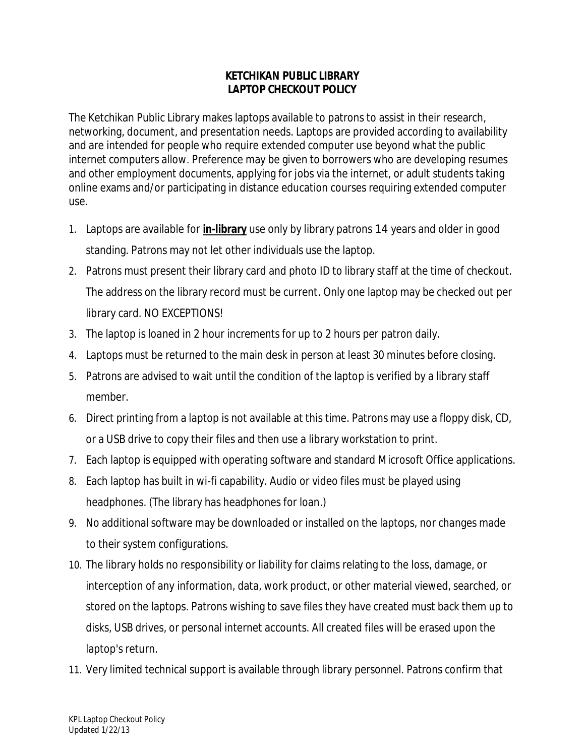## **KETCHIKAN PUBLIC LIBRARY LAPTOP CHECKOUT POLICY**

The Ketchikan Public Library makes laptops available to patrons to assist in their research, networking, document, and presentation needs. Laptops are provided according to availability and are intended for people who require extended computer use beyond what the public internet computers allow. Preference may be given to borrowers who are developing resumes and other employment documents, applying for jobs via the internet, or adult students taking online exams and/or participating in distance education courses requiring extended computer use.

- 1. Laptops are available for **in-library** use only by library patrons 14 years and older in good standing. Patrons may not let other individuals use the laptop.
- 2. Patrons must present their library card and photo ID to library staff at the time of checkout. The address on the library record must be current. Only one laptop may be checked out per library card. NO EXCEPTIONS!
- 3. The laptop is loaned in 2 hour increments for up to 2 hours per patron daily.
- 4. Laptops must be returned to the main desk in person at least 30 minutes before closing.
- 5. Patrons are advised to wait until the condition of the laptop is verified by a library staff member.
- 6. Direct printing from a laptop is not available at this time. Patrons may use a floppy disk, CD, or a USB drive to copy their files and then use a library workstation to print.
- 7. Each laptop is equipped with operating software and standard Microsoft Office applications.
- 8. Each laptop has built in wi-fi capability. Audio or video files must be played using headphones. (The library has headphones for loan.)
- 9. No additional software may be downloaded or installed on the laptops, nor changes made to their system configurations.
- 10. The library holds no responsibility or liability for claims relating to the loss, damage, or interception of any information, data, work product, or other material viewed, searched, or stored on the laptops. Patrons wishing to save files they have created must back them up to disks, USB drives, or personal internet accounts. All created files will be erased upon the laptop's return.
- 11. Very limited technical support is available through library personnel. Patrons confirm that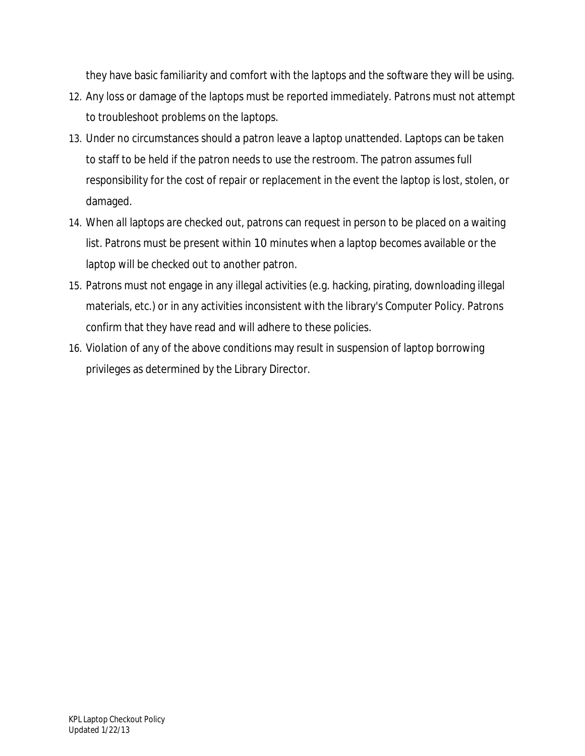they have basic familiarity and comfort with the laptops and the software they will be using.

- 12. Any loss or damage of the laptops must be reported immediately. Patrons must not attempt to troubleshoot problems on the laptops.
- 13. Under no circumstances should a patron leave a laptop unattended. Laptops can be taken to staff to be held if the patron needs to use the restroom. The patron assumes full responsibility for the cost of repair or replacement in the event the laptop is lost, stolen, or damaged.
- 14. When all laptops are checked out, patrons can request in person to be placed on a waiting list. Patrons must be present within 10 minutes when a laptop becomes available or the laptop will be checked out to another patron.
- 15. Patrons must not engage in any illegal activities (e.g. hacking, pirating, downloading illegal materials, etc.) or in any activities inconsistent with the library's Computer Policy. Patrons confirm that they have read and will adhere to these policies.
- 16. Violation of any of the above conditions may result in suspension of laptop borrowing privileges as determined by the Library Director.